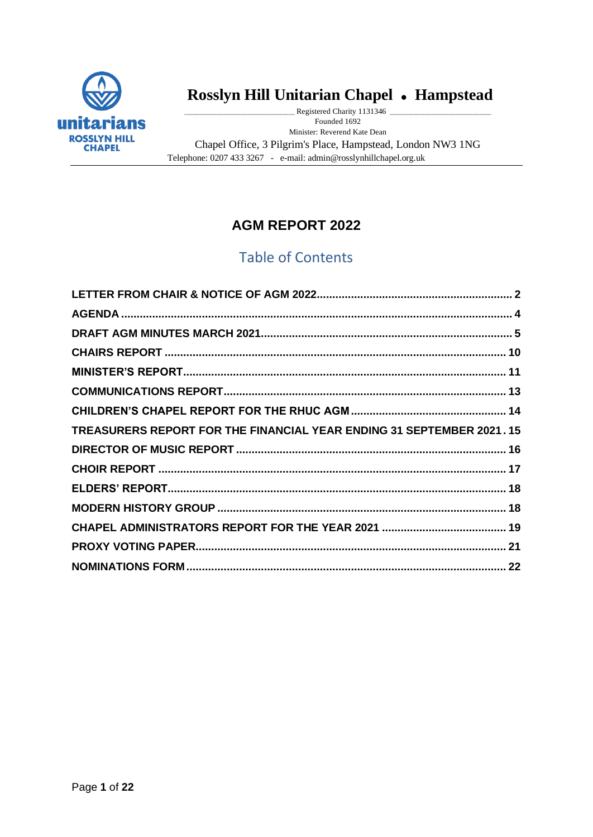

# **Rosslyn Hill Unitarian Chapel** ⚫ **Hampstead**

Registered Charity 1131346 \_ Founded 1692 Minister: Reverend Kate Dean Chapel Office, 3 Pilgrim's Place, Hampstead, London NW3 1NG Telephone: 0207 433 3267 - e-mail: admin@rosslynhillchapel.org.uk

# **AGM REPORT 2022**

# Table of Contents

<span id="page-0-0"></span>

| TREASURERS REPORT FOR THE FINANCIAL YEAR ENDING 31 SEPTEMBER 2021.15 |  |
|----------------------------------------------------------------------|--|
|                                                                      |  |
|                                                                      |  |
|                                                                      |  |
|                                                                      |  |
|                                                                      |  |
|                                                                      |  |
|                                                                      |  |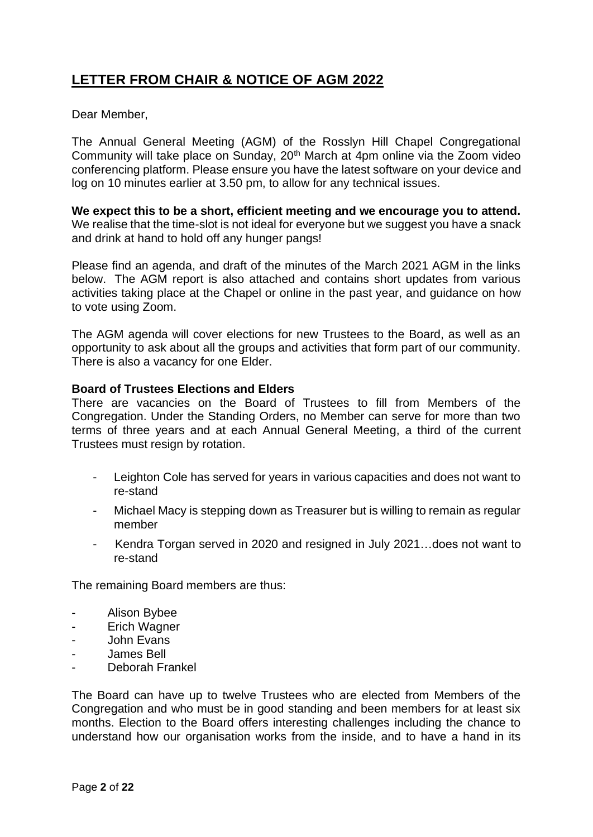# **LETTER FROM CHAIR & NOTICE OF AGM 2022**

Dear Member,

The Annual General Meeting (AGM) of the Rosslyn Hill Chapel Congregational Community will take place on Sunday, 20th March at 4pm online via the Zoom video conferencing platform. Please ensure you have the latest software on your device and log on 10 minutes earlier at 3.50 pm, to allow for any technical issues.

**We expect this to be a short, efficient meeting and we encourage you to attend.**  We realise that the time-slot is not ideal for everyone but we suggest you have a snack and drink at hand to hold off any hunger pangs!

Please find an agenda, and draft of the minutes of the March 2021 AGM in the links below. The AGM report is also attached and contains short updates from various activities taking place at the Chapel or online in the past year, and guidance on how to vote using Zoom.

The AGM agenda will cover elections for new Trustees to the Board, as well as an opportunity to ask about all the groups and activities that form part of our community. There is also a vacancy for one Elder.

#### **Board of Trustees Elections and Elders**

There are vacancies on the Board of Trustees to fill from Members of the Congregation. Under the Standing Orders, no Member can serve for more than two terms of three years and at each Annual General Meeting, a third of the current Trustees must resign by rotation.

- Leighton Cole has served for years in various capacities and does not want to re-stand
- Michael Macy is stepping down as Treasurer but is willing to remain as regular member
- Kendra Torgan served in 2020 and resigned in July 2021…does not want to re-stand

The remaining Board members are thus:

- Alison Bybee
- Erich Wagner
- John Evans
- James Bell
- Deborah Frankel

The Board can have up to twelve Trustees who are elected from Members of the Congregation and who must be in good standing and been members for at least six months. Election to the Board offers interesting challenges including the chance to understand how our organisation works from the inside, and to have a hand in its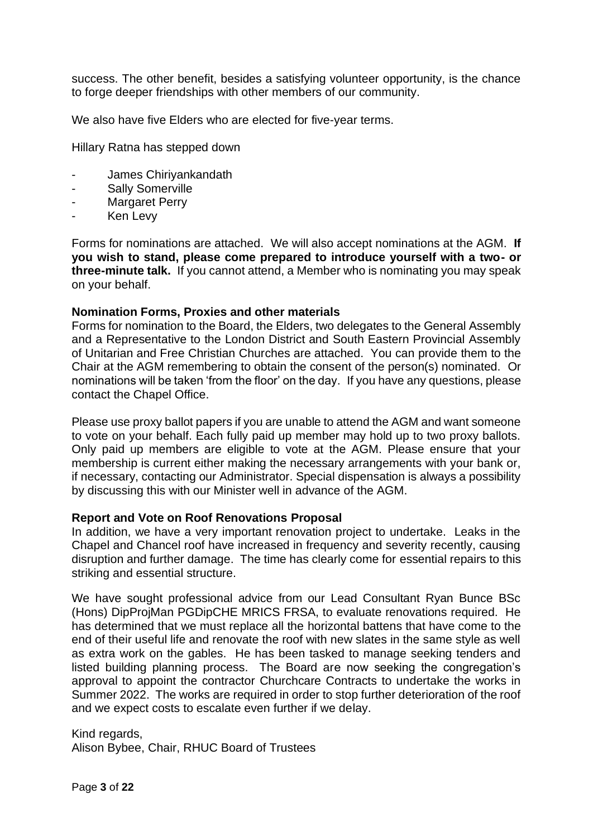success. The other benefit, besides a satisfying volunteer opportunity, is the chance to forge deeper friendships with other members of our community.

We also have five Elders who are elected for five-year terms.

Hillary Ratna has stepped down

- James Chiriyankandath
- Sally Somerville
- Margaret Perry
- Ken Levy

Forms for nominations are attached. We will also accept nominations at the AGM. **If you wish to stand, please come prepared to introduce yourself with a two- or three-minute talk.** If you cannot attend, a Member who is nominating you may speak on your behalf.

#### **Nomination Forms, Proxies and other materials**

Forms for nomination to the Board, the Elders, two delegates to the General Assembly and a Representative to the London District and South Eastern Provincial Assembly of Unitarian and Free Christian Churches are attached. You can provide them to the Chair at the AGM remembering to obtain the consent of the person(s) nominated. Or nominations will be taken 'from the floor' on the day. If you have any questions, please contact the Chapel Office.

Please use proxy ballot papers if you are unable to attend the AGM and want someone to vote on your behalf. Each fully paid up member may hold up to two proxy ballots. Only paid up members are eligible to vote at the AGM. Please ensure that your membership is current either making the necessary arrangements with your bank or, if necessary, contacting our Administrator. Special dispensation is always a possibility by discussing this with our Minister well in advance of the AGM.

#### **Report and Vote on Roof Renovations Proposal**

In addition, we have a very important renovation project to undertake. Leaks in the Chapel and Chancel roof have increased in frequency and severity recently, causing disruption and further damage. The time has clearly come for essential repairs to this striking and essential structure.

We have sought professional advice from our Lead Consultant Ryan Bunce BSc (Hons) DipProjMan PGDipCHE MRICS FRSA, to evaluate renovations required. He has determined that we must replace all the horizontal battens that have come to the end of their useful life and renovate the roof with new slates in the same style as well as extra work on the gables. He has been tasked to manage seeking tenders and listed building planning process. The Board are now seeking the congregation's approval to appoint the contractor Churchcare Contracts to undertake the works in Summer 2022. The works are required in order to stop further deterioration of the roof and we expect costs to escalate even further if we delay.

Kind regards, Alison Bybee, Chair, RHUC Board of Trustees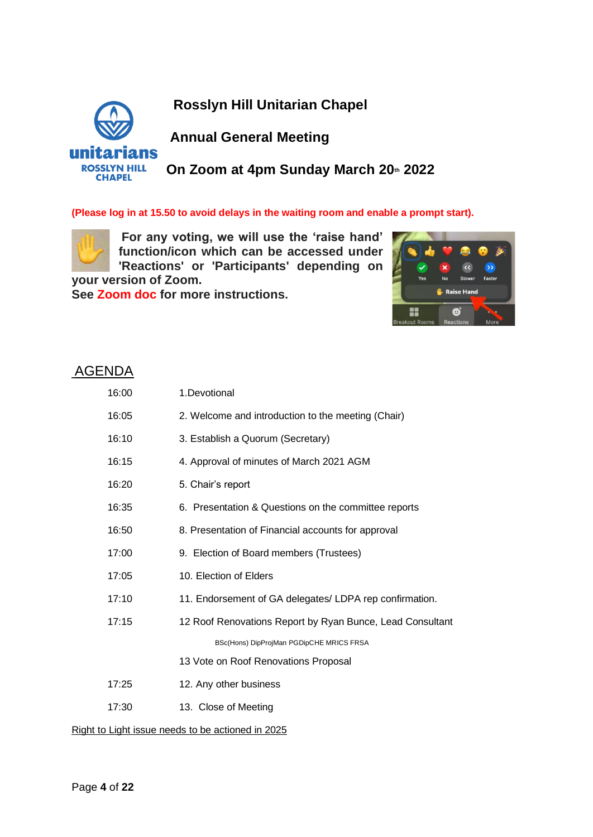**Rosslyn Hill Unitarian Chapel**



# **Annual General Meeting**

**On Zoom at 4pm Sunday March 20th 2022**

#### **(Please log in at 15.50 to avoid delays in the waiting room and enable a prompt start).**



**For any voting, we will use the 'raise hand' function/icon which can be accessed under 'Reactions' or 'Participants' depending on** 

**your version of Zoom. See Zoom doc for more instructions.** 



## <span id="page-3-0"></span>AGENDA

| 16:00 | 1.Devotional                                              |
|-------|-----------------------------------------------------------|
| 16:05 | 2. Welcome and introduction to the meeting (Chair)        |
| 16:10 | 3. Establish a Quorum (Secretary)                         |
| 16:15 | 4. Approval of minutes of March 2021 AGM                  |
| 16:20 | 5. Chair's report                                         |
| 16:35 | 6. Presentation & Questions on the committee reports      |
| 16:50 | 8. Presentation of Financial accounts for approval        |
| 17:00 | 9. Election of Board members (Trustees)                   |
| 17:05 | 10. Election of Elders                                    |
| 17:10 | 11. Endorsement of GA delegates/ LDPA rep confirmation.   |
| 17:15 | 12 Roof Renovations Report by Ryan Bunce, Lead Consultant |
|       | BSc(Hons) DipProjMan PGDipCHE MRICS FRSA                  |
|       | 13 Vote on Roof Renovations Proposal                      |
| 17:25 | 12. Any other business                                    |
| 17:30 | 13. Close of Meeting                                      |

Right to Light issue needs to be actioned in 2025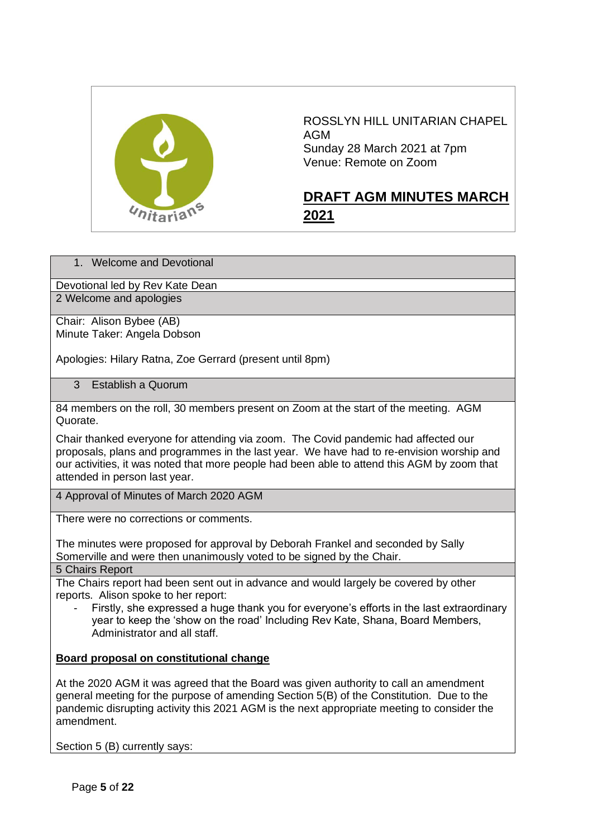

ROSSLYN HILL UNITARIAN CHAPEL AGM Sunday 28 March 2021 at 7pm Venue: Remote on Zoom

## <span id="page-4-0"></span>**DRAFT AGM MINUTES MARCH 2021**

1. Welcome and Devotional

Devotional led by Rev Kate Dean 2 Welcome and apologies

Chair: Alison Bybee (AB) Minute Taker: Angela Dobson

Apologies: Hilary Ratna, Zoe Gerrard (present until 8pm)

3 Establish a Quorum

84 members on the roll, 30 members present on Zoom at the start of the meeting. AGM Quorate.

Chair thanked everyone for attending via zoom. The Covid pandemic had affected our proposals, plans and programmes in the last year. We have had to re-envision worship and our activities, it was noted that more people had been able to attend this AGM by zoom that attended in person last year.

4 Approval of Minutes of March 2020 AGM

There were no corrections or comments.

The minutes were proposed for approval by Deborah Frankel and seconded by Sally Somerville and were then unanimously voted to be signed by the Chair.

5 Chairs Report

The Chairs report had been sent out in advance and would largely be covered by other reports. Alison spoke to her report:

Firstly, she expressed a huge thank you for everyone's efforts in the last extraordinary year to keep the 'show on the road' Including Rev Kate, Shana, Board Members, Administrator and all staff.

#### **Board proposal on constitutional change**

At the 2020 AGM it was agreed that the Board was given authority to call an amendment general meeting for the purpose of amending Section 5(B) of the Constitution. Due to the pandemic disrupting activity this 2021 AGM is the next appropriate meeting to consider the amendment.

Section 5 (B) currently says: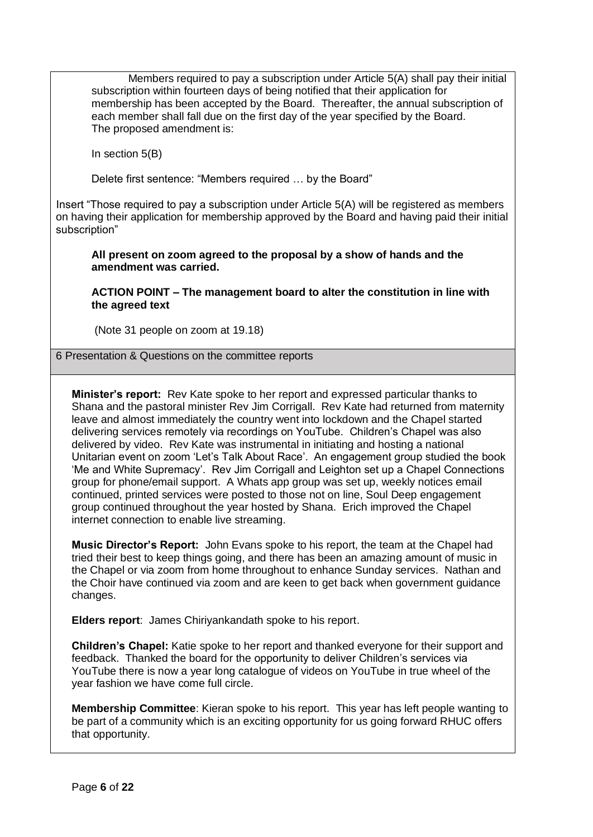Members required to pay a subscription under Article 5(A) shall pay their initial subscription within fourteen days of being notified that their application for membership has been accepted by the Board. Thereafter, the annual subscription of each member shall fall due on the first day of the year specified by the Board. The proposed amendment is:

In section  $5(B)$ 

Delete first sentence: "Members required … by the Board"

Insert "Those required to pay a subscription under Article 5(A) will be registered as members on having their application for membership approved by the Board and having paid their initial subscription"

**All present on zoom agreed to the proposal by a show of hands and the amendment was carried.**

**ACTION POINT – The management board to alter the constitution in line with the agreed text**

(Note 31 people on zoom at 19.18)

6 Presentation & Questions on the committee reports

**Minister's report:** Rev Kate spoke to her report and expressed particular thanks to Shana and the pastoral minister Rev Jim Corrigall. Rev Kate had returned from maternity leave and almost immediately the country went into lockdown and the Chapel started delivering services remotely via recordings on YouTube. Children's Chapel was also delivered by video. Rev Kate was instrumental in initiating and hosting a national Unitarian event on zoom 'Let's Talk About Race'. An engagement group studied the book 'Me and White Supremacy'. Rev Jim Corrigall and Leighton set up a Chapel Connections group for phone/email support. A Whats app group was set up, weekly notices email continued, printed services were posted to those not on line, Soul Deep engagement group continued throughout the year hosted by Shana. Erich improved the Chapel internet connection to enable live streaming.

**Music Director's Report:** John Evans spoke to his report, the team at the Chapel had tried their best to keep things going, and there has been an amazing amount of music in the Chapel or via zoom from home throughout to enhance Sunday services. Nathan and the Choir have continued via zoom and are keen to get back when government guidance changes.

**Elders report**: James Chiriyankandath spoke to his report.

**Children's Chapel:** Katie spoke to her report and thanked everyone for their support and feedback. Thanked the board for the opportunity to deliver Children's services via YouTube there is now a year long catalogue of videos on YouTube in true wheel of the year fashion we have come full circle.

**Membership Committee**: Kieran spoke to his report. This year has left people wanting to be part of a community which is an exciting opportunity for us going forward RHUC offers that opportunity.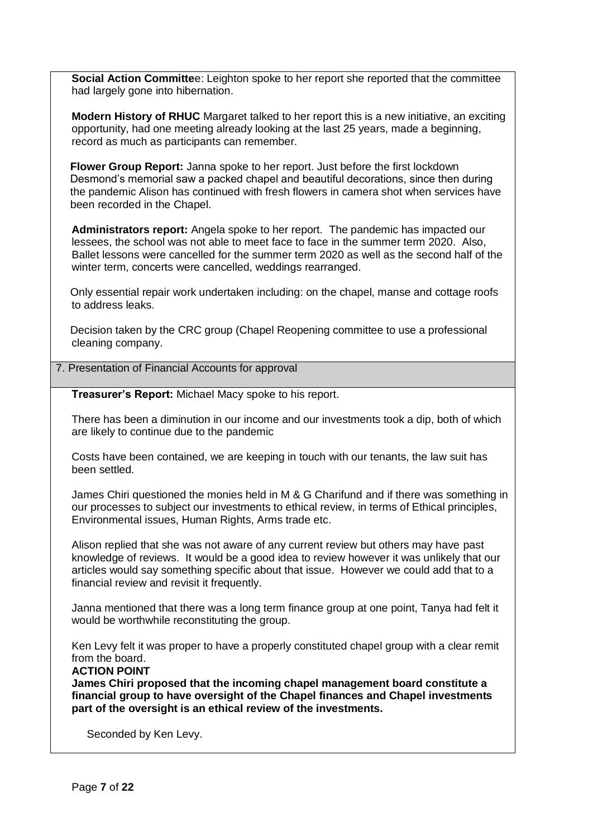**Social Action Committe**e: Leighton spoke to her report she reported that the committee had largely gone into hibernation.

**Modern History of RHUC** Margaret talked to her report this is a new initiative, an exciting opportunity, had one meeting already looking at the last 25 years, made a beginning, record as much as participants can remember.

**Flower Group Report:** Janna spoke to her report. Just before the first lockdown Desmond's memorial saw a packed chapel and beautiful decorations, since then during the pandemic Alison has continued with fresh flowers in camera shot when services have been recorded in the Chapel.

**Administrators report:** Angela spoke to her report. The pandemic has impacted our lessees, the school was not able to meet face to face in the summer term 2020. Also, Ballet lessons were cancelled for the summer term 2020 as well as the second half of the winter term, concerts were cancelled, weddings rearranged.

Only essential repair work undertaken including: on the chapel, manse and cottage roofs to address leaks.

Decision taken by the CRC group (Chapel Reopening committee to use a professional cleaning company.

#### 7. Presentation of Financial Accounts for approval

**Treasurer's Report:** Michael Macy spoke to his report.

There has been a diminution in our income and our investments took a dip, both of which are likely to continue due to the pandemic

Costs have been contained, we are keeping in touch with our tenants, the law suit has been settled.

James Chiri questioned the monies held in M & G Charifund and if there was something in our processes to subject our investments to ethical review, in terms of Ethical principles, Environmental issues, Human Rights, Arms trade etc.

Alison replied that she was not aware of any current review but others may have past knowledge of reviews. It would be a good idea to review however it was unlikely that our articles would say something specific about that issue. However we could add that to a financial review and revisit it frequently.

Janna mentioned that there was a long term finance group at one point, Tanya had felt it would be worthwhile reconstituting the group.

Ken Levy felt it was proper to have a properly constituted chapel group with a clear remit from the board.

#### **ACTION POINT**

**James Chiri proposed that the incoming chapel management board constitute a financial group to have oversight of the Chapel finances and Chapel investments part of the oversight is an ethical review of the investments.**

Seconded by Ken Levy.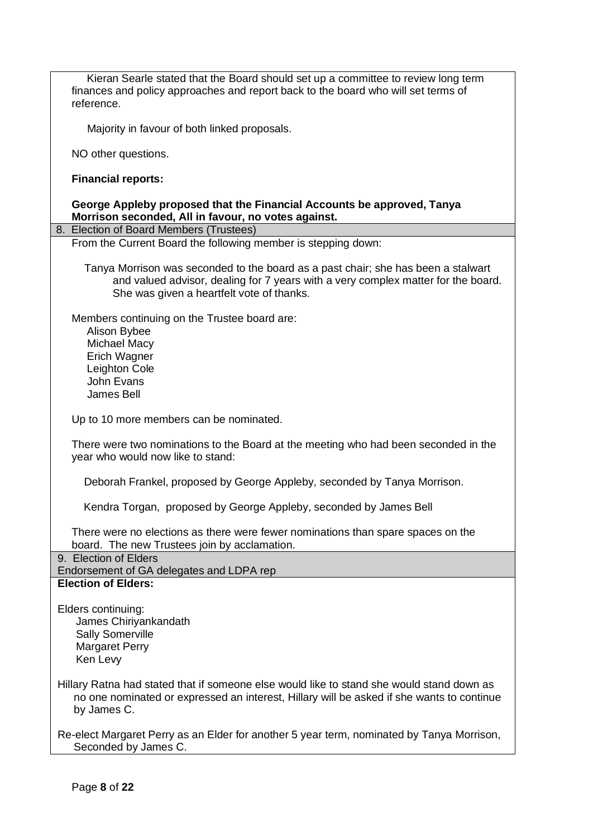| Kieran Searle stated that the Board should set up a committee to review long term<br>finances and policy approaches and report back to the board who will set terms of<br>reference.                                |  |  |  |  |
|---------------------------------------------------------------------------------------------------------------------------------------------------------------------------------------------------------------------|--|--|--|--|
| Majority in favour of both linked proposals.                                                                                                                                                                        |  |  |  |  |
| NO other questions.                                                                                                                                                                                                 |  |  |  |  |
| <b>Financial reports:</b>                                                                                                                                                                                           |  |  |  |  |
| George Appleby proposed that the Financial Accounts be approved, Tanya<br>Morrison seconded, All in favour, no votes against.                                                                                       |  |  |  |  |
| 8. Election of Board Members (Trustees)                                                                                                                                                                             |  |  |  |  |
| From the Current Board the following member is stepping down:                                                                                                                                                       |  |  |  |  |
| Tanya Morrison was seconded to the board as a past chair; she has been a stalwart<br>and valued advisor, dealing for 7 years with a very complex matter for the board.<br>She was given a heartfelt vote of thanks. |  |  |  |  |
| Members continuing on the Trustee board are:<br>Alison Bybee<br><b>Michael Macy</b>                                                                                                                                 |  |  |  |  |
| Erich Wagner                                                                                                                                                                                                        |  |  |  |  |
| Leighton Cole                                                                                                                                                                                                       |  |  |  |  |
| John Evans                                                                                                                                                                                                          |  |  |  |  |
| James Bell                                                                                                                                                                                                          |  |  |  |  |
| Up to 10 more members can be nominated.                                                                                                                                                                             |  |  |  |  |
| There were two nominations to the Board at the meeting who had been seconded in the<br>year who would now like to stand:                                                                                            |  |  |  |  |
| Deborah Frankel, proposed by George Appleby, seconded by Tanya Morrison.                                                                                                                                            |  |  |  |  |
| Kendra Torgan, proposed by George Appleby, seconded by James Bell                                                                                                                                                   |  |  |  |  |
| There were no elections as there were fewer nominations than spare spaces on the<br>board. The new Trustees join by acclamation.                                                                                    |  |  |  |  |
| 9. Election of Elders                                                                                                                                                                                               |  |  |  |  |
| Endorsement of GA delegates and LDPA rep                                                                                                                                                                            |  |  |  |  |
| <b>Election of Elders:</b>                                                                                                                                                                                          |  |  |  |  |
| Elders continuing:<br>James Chiriyankandath<br><b>Sally Somerville</b><br><b>Margaret Perry</b><br>Ken Levy                                                                                                         |  |  |  |  |
| Hillary Ratna had stated that if someone else would like to stand she would stand down as<br>no one nominated or expressed an interest, Hillary will be asked if she wants to continue<br>by James C.               |  |  |  |  |
| Re-elect Margaret Perry as an Elder for another 5 year term, nominated by Tanya Morrison,<br>Seconded by James C.                                                                                                   |  |  |  |  |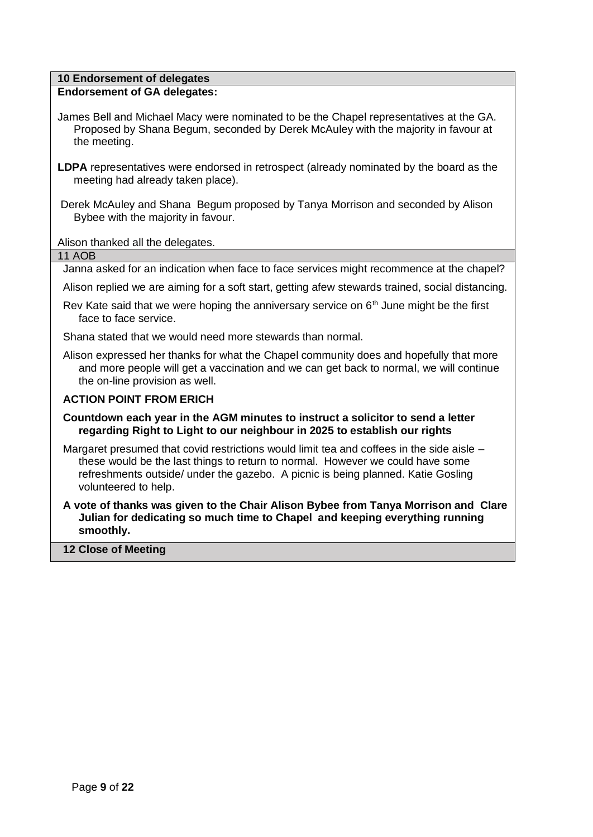#### **10 Endorsement of delegates**

#### **Endorsement of GA delegates:**

- James Bell and Michael Macy were nominated to be the Chapel representatives at the GA. Proposed by Shana Begum, seconded by Derek McAuley with the majority in favour at the meeting.
- **LDPA** representatives were endorsed in retrospect (already nominated by the board as the meeting had already taken place).
- Derek McAuley and Shana Begum proposed by Tanya Morrison and seconded by Alison Bybee with the majority in favour.

Alison thanked all the delegates.

11 AOB

Janna asked for an indication when face to face services might recommence at the chapel?

- Alison replied we are aiming for a soft start, getting afew stewards trained, social distancing.
- Rev Kate said that we were hoping the anniversary service on  $6<sup>th</sup>$  June might be the first face to face service.

Shana stated that we would need more stewards than normal.

Alison expressed her thanks for what the Chapel community does and hopefully that more and more people will get a vaccination and we can get back to normal, we will continue the on-line provision as well.

#### **ACTION POINT FROM ERICH**

**Countdown each year in the AGM minutes to instruct a solicitor to send a letter regarding Right to Light to our neighbour in 2025 to establish our rights**

Margaret presumed that covid restrictions would limit tea and coffees in the side aisle – these would be the last things to return to normal. However we could have some refreshments outside/ under the gazebo. A picnic is being planned. Katie Gosling volunteered to help.

**A vote of thanks was given to the Chair Alison Bybee from Tanya Morrison and Clare Julian for dedicating so much time to Chapel and keeping everything running smoothly.** 

**12 Close of Meeting**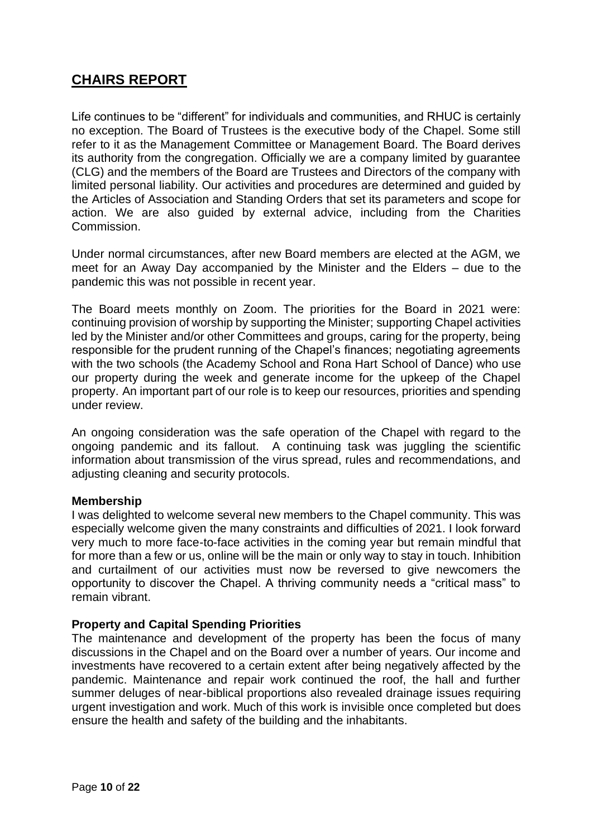## <span id="page-9-0"></span>**CHAIRS REPORT**

Life continues to be "different" for individuals and communities, and RHUC is certainly no exception. The Board of Trustees is the executive body of the Chapel. Some still refer to it as the Management Committee or Management Board. The Board derives its authority from the congregation. Officially we are a company limited by guarantee (CLG) and the members of the Board are Trustees and Directors of the company with limited personal liability. Our activities and procedures are determined and guided by the Articles of Association and Standing Orders that set its parameters and scope for action. We are also guided by external advice, including from the Charities Commission.

Under normal circumstances, after new Board members are elected at the AGM, we meet for an Away Day accompanied by the Minister and the Elders – due to the pandemic this was not possible in recent year.

The Board meets monthly on Zoom. The priorities for the Board in 2021 were: continuing provision of worship by supporting the Minister; supporting Chapel activities led by the Minister and/or other Committees and groups, caring for the property, being responsible for the prudent running of the Chapel's finances; negotiating agreements with the two schools (the Academy School and Rona Hart School of Dance) who use our property during the week and generate income for the upkeep of the Chapel property. An important part of our role is to keep our resources, priorities and spending under review.

An ongoing consideration was the safe operation of the Chapel with regard to the ongoing pandemic and its fallout. A continuing task was juggling the scientific information about transmission of the virus spread, rules and recommendations, and adjusting cleaning and security protocols.

#### **Membership**

I was delighted to welcome several new members to the Chapel community. This was especially welcome given the many constraints and difficulties of 2021. I look forward very much to more face-to-face activities in the coming year but remain mindful that for more than a few or us, online will be the main or only way to stay in touch. Inhibition and curtailment of our activities must now be reversed to give newcomers the opportunity to discover the Chapel. A thriving community needs a "critical mass" to remain vibrant.

#### **Property and Capital Spending Priorities**

The maintenance and development of the property has been the focus of many discussions in the Chapel and on the Board over a number of years. Our income and investments have recovered to a certain extent after being negatively affected by the pandemic. Maintenance and repair work continued the roof, the hall and further summer deluges of near-biblical proportions also revealed drainage issues requiring urgent investigation and work. Much of this work is invisible once completed but does ensure the health and safety of the building and the inhabitants.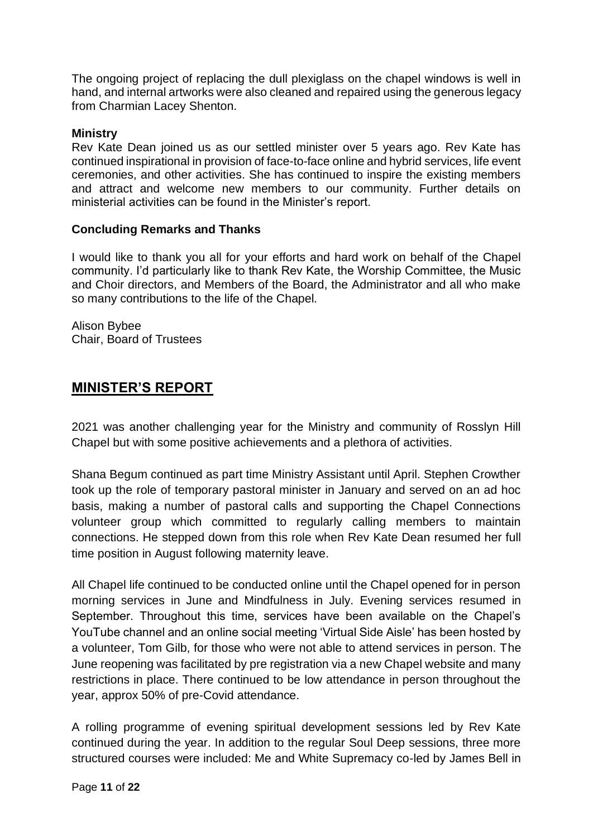The ongoing project of replacing the dull plexiglass on the chapel windows is well in hand, and internal artworks were also cleaned and repaired using the generous legacy from Charmian Lacey Shenton.

#### **Ministry**

Rev Kate Dean joined us as our settled minister over 5 years ago. Rev Kate has continued inspirational in provision of face-to-face online and hybrid services, life event ceremonies, and other activities. She has continued to inspire the existing members and attract and welcome new members to our community. Further details on ministerial activities can be found in the Minister's report.

#### **Concluding Remarks and Thanks**

I would like to thank you all for your efforts and hard work on behalf of the Chapel community. I'd particularly like to thank Rev Kate, the Worship Committee, the Music and Choir directors, and Members of the Board, the Administrator and all who make so many contributions to the life of the Chapel.

Alison Bybee Chair, Board of Trustees

### <span id="page-10-0"></span>**MINISTER'S REPORT**

2021 was another challenging year for the Ministry and community of Rosslyn Hill Chapel but with some positive achievements and a plethora of activities.

Shana Begum continued as part time Ministry Assistant until April. Stephen Crowther took up the role of temporary pastoral minister in January and served on an ad hoc basis, making a number of pastoral calls and supporting the Chapel Connections volunteer group which committed to regularly calling members to maintain connections. He stepped down from this role when Rev Kate Dean resumed her full time position in August following maternity leave.

All Chapel life continued to be conducted online until the Chapel opened for in person morning services in June and Mindfulness in July. Evening services resumed in September. Throughout this time, services have been available on the Chapel's YouTube channel and an online social meeting 'Virtual Side Aisle' has been hosted by a volunteer, Tom Gilb, for those who were not able to attend services in person. The June reopening was facilitated by pre registration via a new Chapel website and many restrictions in place. There continued to be low attendance in person throughout the year, approx 50% of pre-Covid attendance.

A rolling programme of evening spiritual development sessions led by Rev Kate continued during the year. In addition to the regular Soul Deep sessions, three more structured courses were included: Me and White Supremacy co-led by James Bell in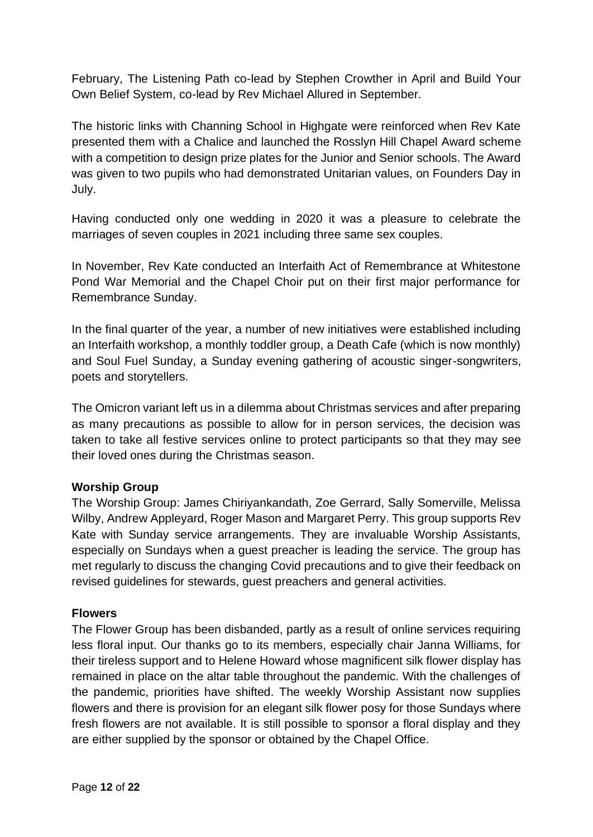February, The Listening Path co-lead by Stephen Crowther in April and Build Your Own Belief System, co-lead by Rev Michael Allured in September.

The historic links with Channing School in Highgate were reinforced when Rev Kate presented them with a Chalice and launched the Rosslyn Hill Chapel Award scheme with a competition to design prize plates for the Junior and Senior schools. The Award was given to two pupils who had demonstrated Unitarian values, on Founders Day in July.

Having conducted only one wedding in 2020 it was a pleasure to celebrate the marriages of seven couples in 2021 including three same sex couples.

In November, Rev Kate conducted an Interfaith Act of Remembrance at Whitestone Pond War Memorial and the Chapel Choir put on their first major performance for Remembrance Sunday.

In the final quarter of the year, a number of new initiatives were established including an Interfaith workshop, a monthly toddler group, a Death Cafe (which is now monthly) and Soul Fuel Sunday, a Sunday evening gathering of acoustic singer-songwriters, poets and storytellers.

The Omicron variant left us in a dilemma about Christmas services and after preparing as many precautions as possible to allow for in person services, the decision was taken to take all festive services online to protect participants so that they may see their loved ones during the Christmas season.

#### **Worship Group**

The Worship Group: James Chiriyankandath, Zoe Gerrard, Sally Somerville, Melissa Wilby, Andrew Appleyard, Roger Mason and Margaret Perry. This group supports Rev Kate with Sunday service arrangements. They are invaluable Worship Assistants, especially on Sundays when a guest preacher is leading the service. The group has met regularly to discuss the changing Covid precautions and to give their feedback on revised guidelines for stewards, guest preachers and general activities.

#### **Flowers**

The Flower Group has been disbanded, partly as a result of online services requiring less floral input. Our thanks go to its members, especially chair Janna Williams, for their tireless support and to Helene Howard whose magnificent silk flower display has remained in place on the altar table throughout the pandemic. With the challenges of the pandemic, priorities have shifted. The weekly Worship Assistant now supplies flowers and there is provision for an elegant silk flower posy for those Sundays where fresh flowers are not available. It is still possible to sponsor a floral display and they are either supplied by the sponsor or obtained by the Chapel Office.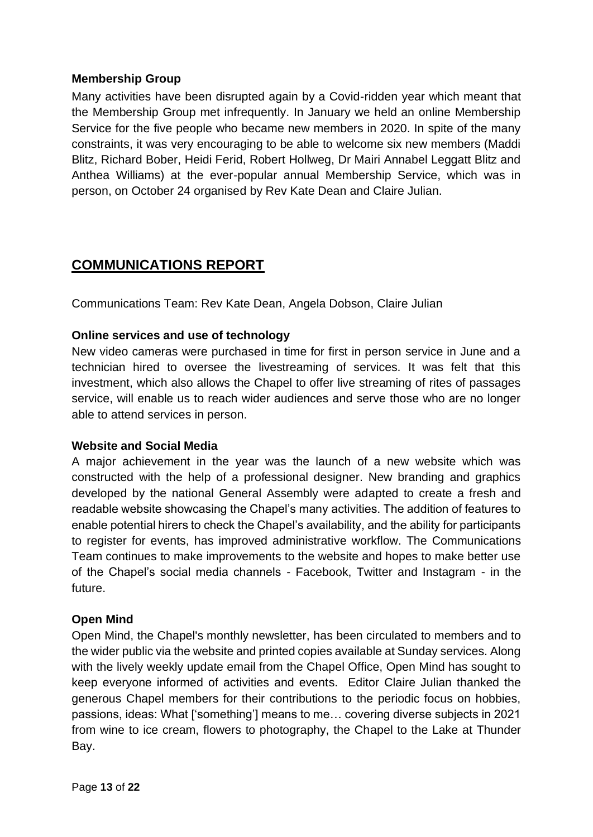#### **Membership Group**

Many activities have been disrupted again by a Covid-ridden year which meant that the Membership Group met infrequently. In January we held an online Membership Service for the five people who became new members in 2020. In spite of the many constraints, it was very encouraging to be able to welcome six new members (Maddi Blitz, Richard Bober, Heidi Ferid, Robert Hollweg, Dr Mairi Annabel Leggatt Blitz and Anthea Williams) at the ever-popular annual Membership Service, which was in person, on October 24 organised by Rev Kate Dean and Claire Julian.

## <span id="page-12-0"></span>**COMMUNICATIONS REPORT**

Communications Team: Rev Kate Dean, Angela Dobson, Claire Julian

#### **Online services and use of technology**

New video cameras were purchased in time for first in person service in June and a technician hired to oversee the livestreaming of services. It was felt that this investment, which also allows the Chapel to offer live streaming of rites of passages service, will enable us to reach wider audiences and serve those who are no longer able to attend services in person.

#### **Website and Social Media**

A major achievement in the year was the launch of a new website which was constructed with the help of a professional designer. New branding and graphics developed by the national General Assembly were adapted to create a fresh and readable website showcasing the Chapel's many activities. The addition of features to enable potential hirers to check the Chapel's availability, and the ability for participants to register for events, has improved administrative workflow. The Communications Team continues to make improvements to the website and hopes to make better use of the Chapel's social media channels - Facebook, Twitter and Instagram - in the future.

#### **Open Mind**

Open Mind, the Chapel's monthly newsletter, has been circulated to members and to the wider public via the website and printed copies available at Sunday services. Along with the lively weekly update email from the Chapel Office, Open Mind has sought to keep everyone informed of activities and events. Editor Claire Julian thanked the generous Chapel members for their contributions to the periodic focus on hobbies, passions, ideas: What ['something'] means to me… covering diverse subjects in 2021 from wine to ice cream, flowers to photography, the Chapel to the Lake at Thunder Bay.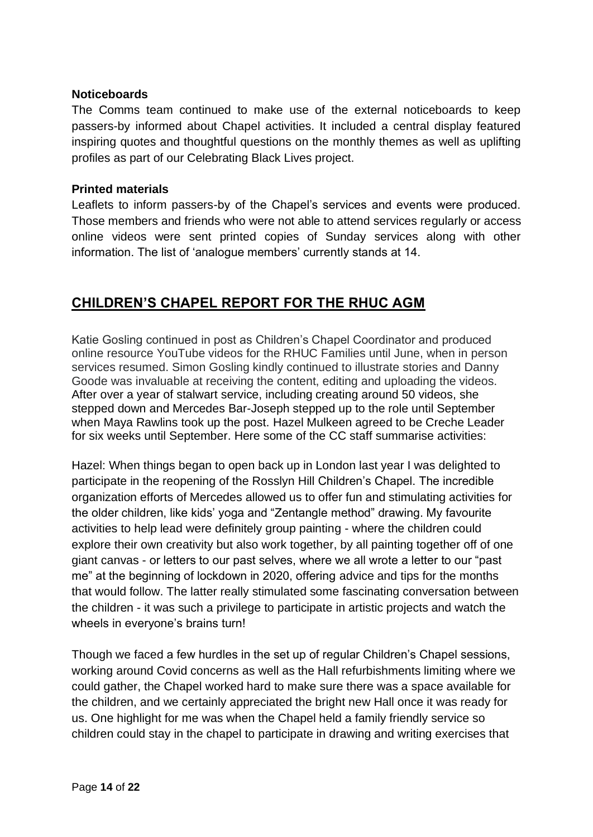#### **Noticeboards**

The Comms team continued to make use of the external noticeboards to keep passers-by informed about Chapel activities. It included a central display featured inspiring quotes and thoughtful questions on the monthly themes as well as uplifting profiles as part of our Celebrating Black Lives project.

#### **Printed materials**

Leaflets to inform passers-by of the Chapel's services and events were produced. Those members and friends who were not able to attend services regularly or access online videos were sent printed copies of Sunday services along with other information. The list of 'analogue members' currently stands at 14.

## <span id="page-13-0"></span>**CHILDREN'S CHAPEL REPORT FOR THE RHUC AGM**

Katie Gosling continued in post as Children's Chapel Coordinator and produced online resource YouTube videos for the RHUC Families until June, when in person services resumed. Simon Gosling kindly continued to illustrate stories and Danny Goode was invaluable at receiving the content, editing and uploading the videos. After over a year of stalwart service, including creating around 50 videos, she stepped down and Mercedes Bar-Joseph stepped up to the role until September when Maya Rawlins took up the post. Hazel Mulkeen agreed to be Creche Leader for six weeks until September. Here some of the CC staff summarise activities:

Hazel: When things began to open back up in London last year I was delighted to participate in the reopening of the Rosslyn Hill Children's Chapel. The incredible organization efforts of Mercedes allowed us to offer fun and stimulating activities for the older children, like kids' yoga and "Zentangle method" drawing. My favourite activities to help lead were definitely group painting - where the children could explore their own creativity but also work together, by all painting together off of one giant canvas - or letters to our past selves, where we all wrote a letter to our "past me" at the beginning of lockdown in 2020, offering advice and tips for the months that would follow. The latter really stimulated some fascinating conversation between the children - it was such a privilege to participate in artistic projects and watch the wheels in everyone's brains turn!

Though we faced a few hurdles in the set up of regular Children's Chapel sessions, working around Covid concerns as well as the Hall refurbishments limiting where we could gather, the Chapel worked hard to make sure there was a space available for the children, and we certainly appreciated the bright new Hall once it was ready for us. One highlight for me was when the Chapel held a family friendly service so children could stay in the chapel to participate in drawing and writing exercises that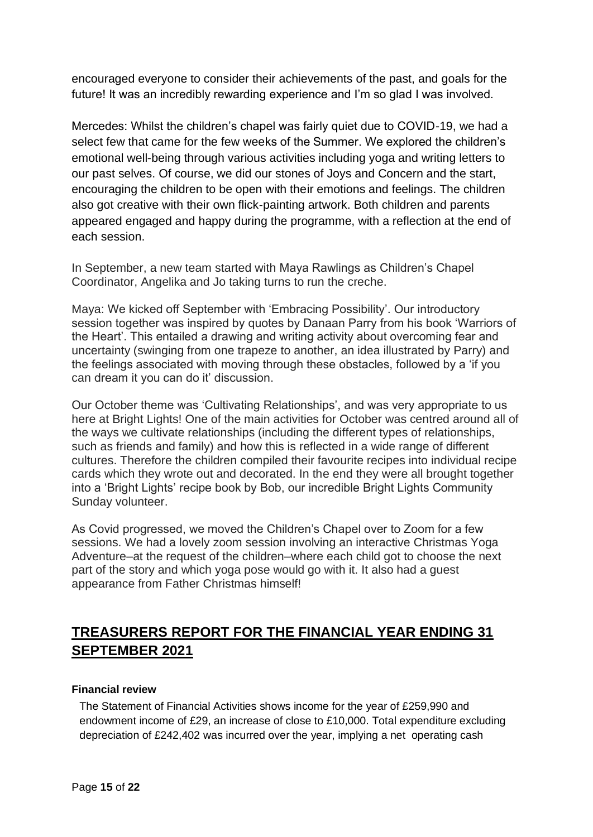encouraged everyone to consider their achievements of the past, and goals for the future! It was an incredibly rewarding experience and I'm so glad I was involved.

Mercedes: Whilst the children's chapel was fairly quiet due to COVID-19, we had a select few that came for the few weeks of the Summer. We explored the children's emotional well-being through various activities including yoga and writing letters to our past selves. Of course, we did our stones of Joys and Concern and the start, encouraging the children to be open with their emotions and feelings. The children also got creative with their own flick-painting artwork. Both children and parents appeared engaged and happy during the programme, with a reflection at the end of each session.

In September, a new team started with Maya Rawlings as Children's Chapel Coordinator, Angelika and Jo taking turns to run the creche.

Maya: We kicked off September with 'Embracing Possibility'. Our introductory session together was inspired by quotes by Danaan Parry from his book 'Warriors of the Heart'. This entailed a drawing and writing activity about overcoming fear and uncertainty (swinging from one trapeze to another, an idea illustrated by Parry) and the feelings associated with moving through these obstacles, followed by a 'if you can dream it you can do it' discussion.

Our October theme was 'Cultivating Relationships', and was very appropriate to us here at Bright Lights! One of the main activities for October was centred around all of the ways we cultivate relationships (including the different types of relationships, such as friends and family) and how this is reflected in a wide range of different cultures. Therefore the children compiled their favourite recipes into individual recipe cards which they wrote out and decorated. In the end they were all brought together into a 'Bright Lights' recipe book by Bob, our incredible Bright Lights Community Sunday volunteer.

As Covid progressed, we moved the Children's Chapel over to Zoom for a few sessions. We had a lovely zoom session involving an interactive Christmas Yoga Adventure–at the request of the children–where each child got to choose the next part of the story and which yoga pose would go with it. It also had a guest appearance from Father Christmas himself!

# <span id="page-14-0"></span>**TREASURERS REPORT FOR THE FINANCIAL YEAR ENDING 31 SEPTEMBER 2021**

#### **Financial review**

The Statement of Financial Activities shows income for the year of £259,990 and endowment income of £29, an increase of close to £10,000. Total expenditure excluding depreciation of £242,402 was incurred over the year, implying a net operating cash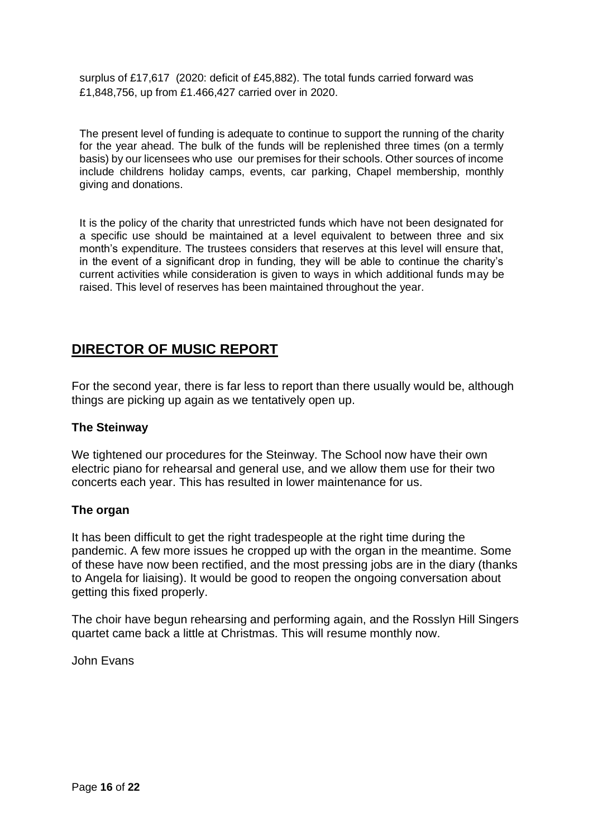surplus of £17,617 (2020: deficit of £45,882). The total funds carried forward was £1,848,756, up from £1.466,427 carried over in 2020.

The present level of funding is adequate to continue to support the running of the charity for the year ahead. The bulk of the funds will be replenished three times (on a termly basis) by our licensees who use our premises for their schools. Other sources of income include childrens holiday camps, events, car parking, Chapel membership, monthly giving and donations.

It is the policy of the charity that unrestricted funds which have not been designated for a specific use should be maintained at a level equivalent to between three and six month's expenditure. The trustees considers that reserves at this level will ensure that, in the event of a significant drop in funding, they will be able to continue the charity's current activities while consideration is given to ways in which additional funds may be raised. This level of reserves has been maintained throughout the year.

## <span id="page-15-0"></span>**DIRECTOR OF MUSIC REPORT**

For the second year, there is far less to report than there usually would be, although things are picking up again as we tentatively open up.

#### **The Steinway**

We tightened our procedures for the Steinway. The School now have their own electric piano for rehearsal and general use, and we allow them use for their two concerts each year. This has resulted in lower maintenance for us.

#### **The organ**

It has been difficult to get the right tradespeople at the right time during the pandemic. A few more issues he cropped up with the organ in the meantime. Some of these have now been rectified, and the most pressing jobs are in the diary (thanks to Angela for liaising). It would be good to reopen the ongoing conversation about getting this fixed properly.

The choir have begun rehearsing and performing again, and the Rosslyn Hill Singers quartet came back a little at Christmas. This will resume monthly now.

John Evans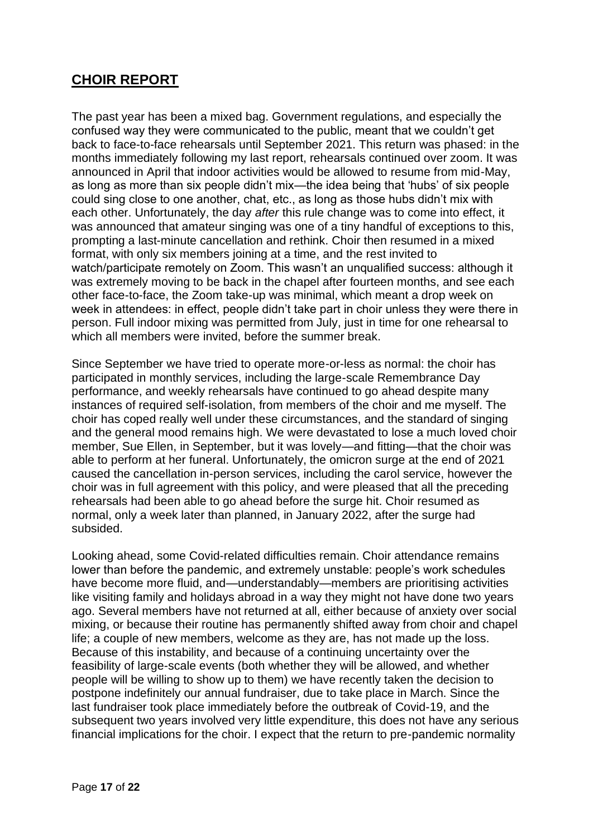# <span id="page-16-0"></span>**CHOIR REPORT**

The past year has been a mixed bag. Government regulations, and especially the confused way they were communicated to the public, meant that we couldn't get back to face-to-face rehearsals until September 2021. This return was phased: in the months immediately following my last report, rehearsals continued over zoom. It was announced in April that indoor activities would be allowed to resume from mid-May, as long as more than six people didn't mix—the idea being that 'hubs' of six people could sing close to one another, chat, etc., as long as those hubs didn't mix with each other. Unfortunately, the day *after* this rule change was to come into effect, it was announced that amateur singing was one of a tiny handful of exceptions to this, prompting a last-minute cancellation and rethink. Choir then resumed in a mixed format, with only six members joining at a time, and the rest invited to watch/participate remotely on Zoom. This wasn't an unqualified success: although it was extremely moving to be back in the chapel after fourteen months, and see each other face-to-face, the Zoom take-up was minimal, which meant a drop week on week in attendees: in effect, people didn't take part in choir unless they were there in person. Full indoor mixing was permitted from July, just in time for one rehearsal to which all members were invited, before the summer break.

Since September we have tried to operate more-or-less as normal: the choir has participated in monthly services, including the large-scale Remembrance Day performance, and weekly rehearsals have continued to go ahead despite many instances of required self-isolation, from members of the choir and me myself. The choir has coped really well under these circumstances, and the standard of singing and the general mood remains high. We were devastated to lose a much loved choir member, Sue Ellen, in September, but it was lovely—and fitting—that the choir was able to perform at her funeral. Unfortunately, the omicron surge at the end of 2021 caused the cancellation in-person services, including the carol service, however the choir was in full agreement with this policy, and were pleased that all the preceding rehearsals had been able to go ahead before the surge hit. Choir resumed as normal, only a week later than planned, in January 2022, after the surge had subsided.

Looking ahead, some Covid-related difficulties remain. Choir attendance remains lower than before the pandemic, and extremely unstable: people's work schedules have become more fluid, and—understandably—members are prioritising activities like visiting family and holidays abroad in a way they might not have done two years ago. Several members have not returned at all, either because of anxiety over social mixing, or because their routine has permanently shifted away from choir and chapel life; a couple of new members, welcome as they are, has not made up the loss. Because of this instability, and because of a continuing uncertainty over the feasibility of large-scale events (both whether they will be allowed, and whether people will be willing to show up to them) we have recently taken the decision to postpone indefinitely our annual fundraiser, due to take place in March. Since the last fundraiser took place immediately before the outbreak of Covid-19, and the subsequent two years involved very little expenditure, this does not have any serious financial implications for the choir. I expect that the return to pre-pandemic normality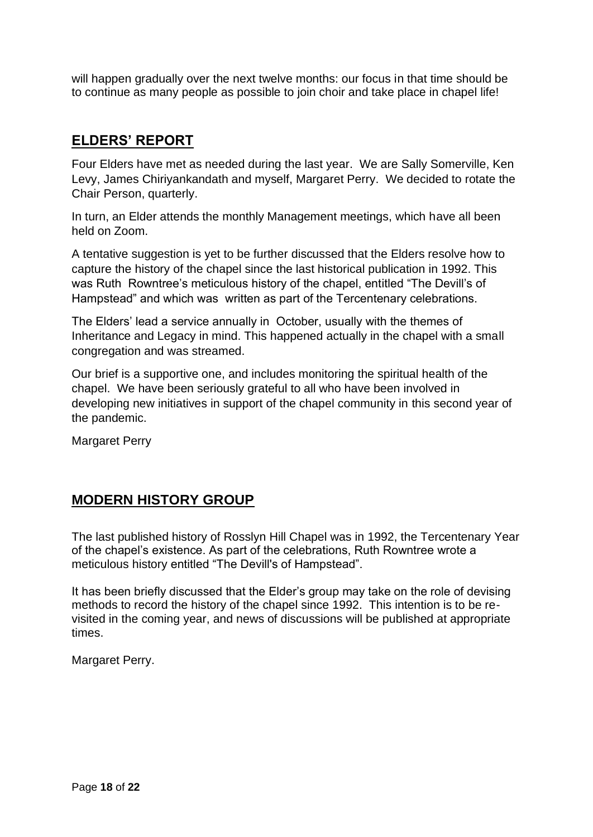will happen gradually over the next twelve months: our focus in that time should be to continue as many people as possible to join choir and take place in chapel life!

## <span id="page-17-0"></span>**ELDERS' REPORT**

Four Elders have met as needed during the last year. We are Sally Somerville, Ken Levy, James Chiriyankandath and myself, Margaret Perry. We decided to rotate the Chair Person, quarterly.

In turn, an Elder attends the monthly Management meetings, which have all been held on Zoom.

A tentative suggestion is yet to be further discussed that the Elders resolve how to capture the history of the chapel since the last historical publication in 1992. This was Ruth Rowntree's meticulous history of the chapel, entitled "The Devill's of Hampstead" and which was written as part of the Tercentenary celebrations.

The Elders' lead a service annually in October, usually with the themes of Inheritance and Legacy in mind. This happened actually in the chapel with a small congregation and was streamed.

Our brief is a supportive one, and includes monitoring the spiritual health of the chapel. We have been seriously grateful to all who have been involved in developing new initiatives in support of the chapel community in this second year of the pandemic.

Margaret Perry

# <span id="page-17-1"></span>**MODERN HISTORY GROUP**

The last published history of Rosslyn Hill Chapel was in 1992, the Tercentenary Year of the chapel's existence. As part of the celebrations, Ruth Rowntree wrote a meticulous history entitled "The Devill's of Hampstead".

It has been briefly discussed that the Elder's group may take on the role of devising methods to record the history of the chapel since 1992. This intention is to be revisited in the coming year, and news of discussions will be published at appropriate times.

Margaret Perry.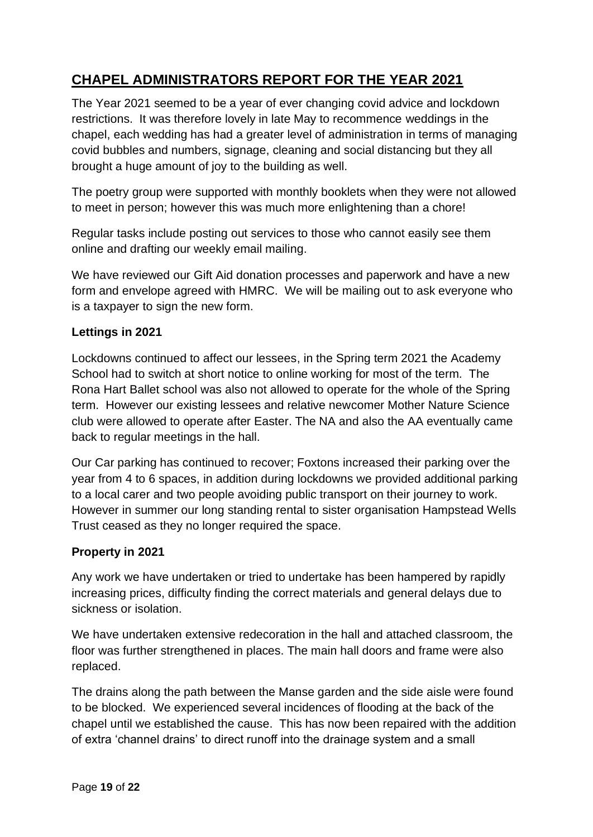# <span id="page-18-0"></span>**CHAPEL ADMINISTRATORS REPORT FOR THE YEAR 2021**

The Year 2021 seemed to be a year of ever changing covid advice and lockdown restrictions. It was therefore lovely in late May to recommence weddings in the chapel, each wedding has had a greater level of administration in terms of managing covid bubbles and numbers, signage, cleaning and social distancing but they all brought a huge amount of joy to the building as well.

The poetry group were supported with monthly booklets when they were not allowed to meet in person; however this was much more enlightening than a chore!

Regular tasks include posting out services to those who cannot easily see them online and drafting our weekly email mailing.

We have reviewed our Gift Aid donation processes and paperwork and have a new form and envelope agreed with HMRC. We will be mailing out to ask everyone who is a taxpayer to sign the new form.

### **Lettings in 2021**

Lockdowns continued to affect our lessees, in the Spring term 2021 the Academy School had to switch at short notice to online working for most of the term. The Rona Hart Ballet school was also not allowed to operate for the whole of the Spring term. However our existing lessees and relative newcomer Mother Nature Science club were allowed to operate after Easter. The NA and also the AA eventually came back to regular meetings in the hall.

Our Car parking has continued to recover; Foxtons increased their parking over the year from 4 to 6 spaces, in addition during lockdowns we provided additional parking to a local carer and two people avoiding public transport on their journey to work. However in summer our long standing rental to sister organisation Hampstead Wells Trust ceased as they no longer required the space.

#### **Property in 2021**

Any work we have undertaken or tried to undertake has been hampered by rapidly increasing prices, difficulty finding the correct materials and general delays due to sickness or isolation.

We have undertaken extensive redecoration in the hall and attached classroom, the floor was further strengthened in places. The main hall doors and frame were also replaced.

The drains along the path between the Manse garden and the side aisle were found to be blocked. We experienced several incidences of flooding at the back of the chapel until we established the cause. This has now been repaired with the addition of extra 'channel drains' to direct runoff into the drainage system and a small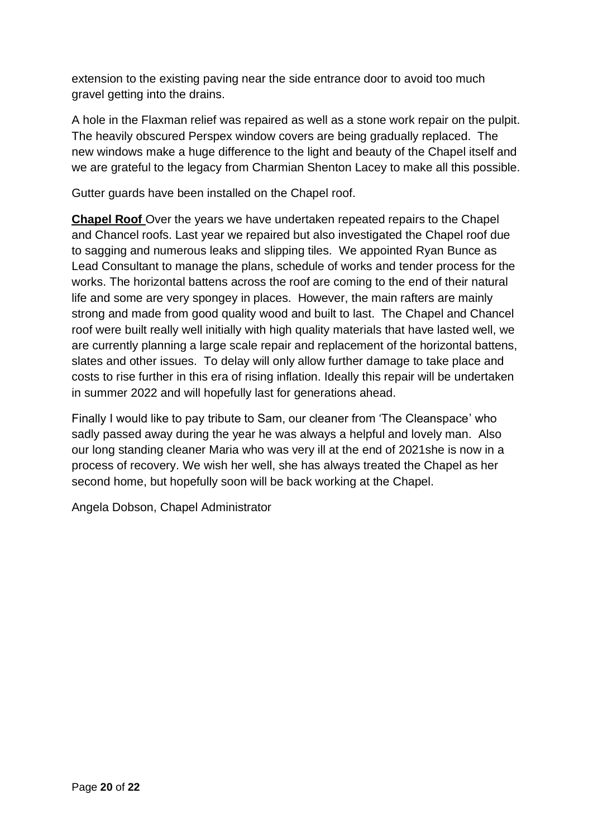extension to the existing paving near the side entrance door to avoid too much gravel getting into the drains.

A hole in the Flaxman relief was repaired as well as a stone work repair on the pulpit. The heavily obscured Perspex window covers are being gradually replaced. The new windows make a huge difference to the light and beauty of the Chapel itself and we are grateful to the legacy from Charmian Shenton Lacey to make all this possible.

Gutter guards have been installed on the Chapel roof.

**Chapel Roof** Over the years we have undertaken repeated repairs to the Chapel and Chancel roofs. Last year we repaired but also investigated the Chapel roof due to sagging and numerous leaks and slipping tiles. We appointed Ryan Bunce as Lead Consultant to manage the plans, schedule of works and tender process for the works. The horizontal battens across the roof are coming to the end of their natural life and some are very spongey in places. However, the main rafters are mainly strong and made from good quality wood and built to last. The Chapel and Chancel roof were built really well initially with high quality materials that have lasted well, we are currently planning a large scale repair and replacement of the horizontal battens, slates and other issues. To delay will only allow further damage to take place and costs to rise further in this era of rising inflation. Ideally this repair will be undertaken in summer 2022 and will hopefully last for generations ahead.

Finally I would like to pay tribute to Sam, our cleaner from 'The Cleanspace' who sadly passed away during the year he was always a helpful and lovely man. Also our long standing cleaner Maria who was very ill at the end of 2021she is now in a process of recovery. We wish her well, she has always treated the Chapel as her second home, but hopefully soon will be back working at the Chapel.

Angela Dobson, Chapel Administrator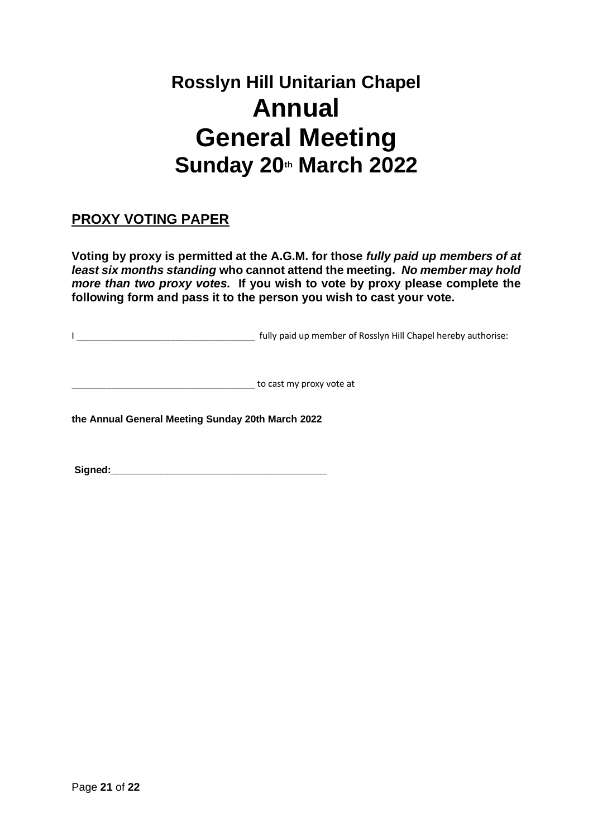# **Rosslyn Hill Unitarian Chapel Annual General Meeting Sunday 20th March 2022**

# <span id="page-20-0"></span>**PROXY VOTING PAPER**

**Voting by proxy is permitted at the A.G.M. for those** *fully paid up members of at least six months standing* **who cannot attend the meeting.** *No member may hold more than two proxy votes.* **If you wish to vote by proxy please complete the following form and pass it to the person you wish to cast your vote.**

I \_\_\_\_\_\_\_\_\_\_\_\_\_\_\_\_\_\_\_\_\_\_\_\_\_\_\_\_\_\_\_\_\_\_\_\_ fully paid up member of Rosslyn Hill Chapel hereby authorise:

\_\_\_\_\_\_\_\_\_\_\_\_\_\_\_\_\_\_\_\_\_\_\_\_\_\_\_\_\_\_\_\_\_\_\_\_\_ to cast my proxy vote at

**the Annual General Meeting Sunday 20th March 2022**

**Signed:\_\_\_\_\_\_\_\_\_\_\_\_\_\_\_\_\_\_\_\_\_\_\_\_\_\_\_\_\_\_\_\_\_\_\_\_\_\_\_**